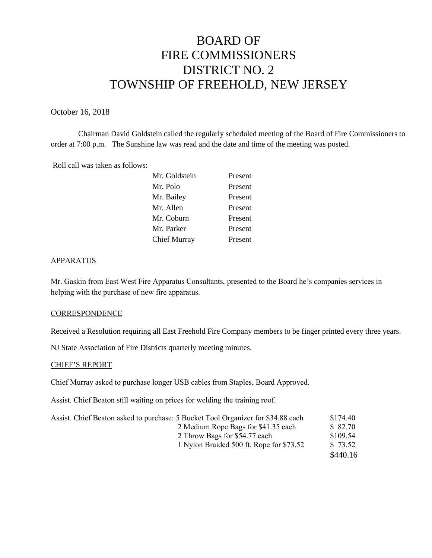# BOARD OF FIRE COMMISSIONERS DISTRICT NO. 2 TOWNSHIP OF FREEHOLD, NEW JERSEY

October 16, 2018

Chairman David Goldstein called the regularly scheduled meeting of the Board of Fire Commissioners to order at 7:00 p.m. The Sunshine law was read and the date and time of the meeting was posted.

Roll call was taken as follows:

| Mr. Goldstein | Present |
|---------------|---------|
| Mr. Polo      | Present |
| Mr. Bailey    | Present |
| Mr. Allen     | Present |
| Mr. Coburn    | Present |
| Mr. Parker    | Present |
| Chief Murray  | Present |

#### APPARATUS

Mr. Gaskin from East West Fire Apparatus Consultants, presented to the Board he's companies services in helping with the purchase of new fire apparatus.

#### **CORRESPONDENCE**

Received a Resolution requiring all East Freehold Fire Company members to be finger printed every three years.

NJ State Association of Fire Districts quarterly meeting minutes.

#### CHIEF'S REPORT

Chief Murray asked to purchase longer USB cables from Staples, Board Approved.

Assist. Chief Beaton still waiting on prices for welding the training roof.

| Assist. Chief Beaton asked to purchase: 5 Bucket Tool Organizer for \$34.88 each | \$174.40 |
|----------------------------------------------------------------------------------|----------|
| 2 Medium Rope Bags for \$41.35 each                                              | \$ 82.70 |
| 2 Throw Bags for \$54.77 each                                                    | \$109.54 |
| 1 Nylon Braided 500 ft. Rope for \$73.52                                         | \$73.52  |
|                                                                                  | \$440.16 |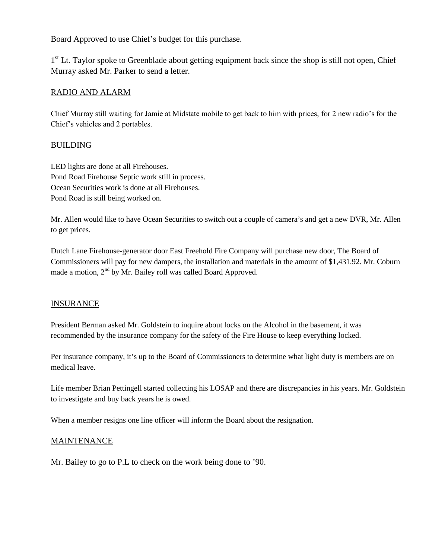Board Approved to use Chief's budget for this purchase.

1<sup>st</sup> Lt. Taylor spoke to Greenblade about getting equipment back since the shop is still not open, Chief Murray asked Mr. Parker to send a letter.

# RADIO AND ALARM

Chief Murray still waiting for Jamie at Midstate mobile to get back to him with prices, for 2 new radio's for the Chief's vehicles and 2 portables.

# BUILDING

LED lights are done at all Firehouses. Pond Road Firehouse Septic work still in process. Ocean Securities work is done at all Firehouses. Pond Road is still being worked on.

Mr. Allen would like to have Ocean Securities to switch out a couple of camera's and get a new DVR, Mr. Allen to get prices.

Dutch Lane Firehouse-generator door East Freehold Fire Company will purchase new door, The Board of Commissioners will pay for new dampers, the installation and materials in the amount of \$1,431.92. Mr. Coburn made a motion, 2<sup>nd</sup> by Mr. Bailey roll was called Board Approved.

## **INSURANCE**

President Berman asked Mr. Goldstein to inquire about locks on the Alcohol in the basement, it was recommended by the insurance company for the safety of the Fire House to keep everything locked.

Per insurance company, it's up to the Board of Commissioners to determine what light duty is members are on medical leave.

Life member Brian Pettingell started collecting his LOSAP and there are discrepancies in his years. Mr. Goldstein to investigate and buy back years he is owed.

When a member resigns one line officer will inform the Board about the resignation.

## **MAINTENANCE**

Mr. Bailey to go to P.L to check on the work being done to '90.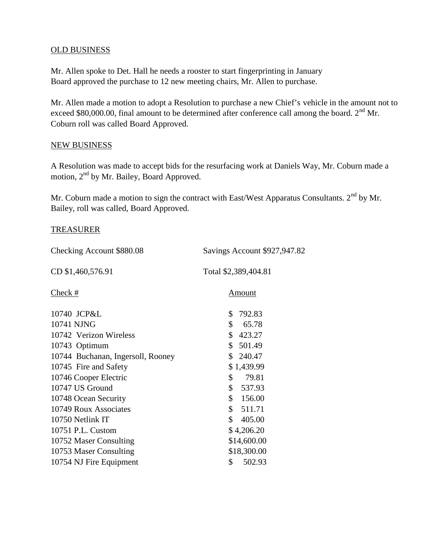# OLD BUSINESS

Mr. Allen spoke to Det. Hall he needs a rooster to start fingerprinting in January Board approved the purchase to 12 new meeting chairs, Mr. Allen to purchase.

Mr. Allen made a motion to adopt a Resolution to purchase a new Chief's vehicle in the amount not to exceed \$80,000.00, final amount to be determined after conference call among the board. 2<sup>nd</sup> Mr. Coburn roll was called Board Approved.

# NEW BUSINESS

A Resolution was made to accept bids for the resurfacing work at Daniels Way, Mr. Coburn made a motion, 2<sup>nd</sup> by Mr. Bailey, Board Approved.

Mr. Coburn made a motion to sign the contract with East/West Apparatus Consultants.  $2<sup>nd</sup>$  by Mr. Bailey, roll was called, Board Approved.

### TREASURER

| Checking Account \$880.08         | Savings Account \$927,947.82 |
|-----------------------------------|------------------------------|
| CD \$1,460,576.91                 | Total \$2,389,404.81         |
| Check #                           | Amount                       |
| 10740 JCP&L                       | 792.83<br>S.                 |
| 10741 NJNG                        | S.<br>65.78                  |
| 10742 Verizon Wireless            | \$423.27                     |
| 10743 Optimum                     | \$501.49                     |
| 10744 Buchanan, Ingersoll, Rooney | \$240.47                     |
| 10745 Fire and Safety             | \$1,439.99                   |

10746 Cooper Electric \$ 79.81 10747 US Ground \$ 537.93 10748 Ocean Security \$ 156.00 10749 Roux Associates \$ 511.71 10750 Netlink IT \$ 405.00 10751 P.L. Custom \$ 4,206.20 10752 Maser Consulting \$14,600.00 10753 Maser Consulting \$18,300.00 10754 NJ Fire Equipment \$ 502.93